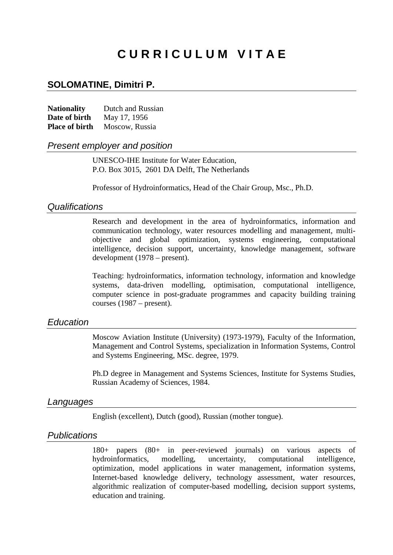# **C U R R I C U L U M V I T A E**

### **SOLOMATINE, Dimitri P.**

| <b>Nationality</b>    | Dutch and Russian |
|-----------------------|-------------------|
| Date of birth         | May 17, 1956      |
| <b>Place of birth</b> | Moscow, Russia    |

### *Present employer and position*

UNESCO-IHE Institute for Water Education, P.O. Box 3015, 2601 DA Delft, The Netherlands

Professor of Hydroinformatics, Head of the Chair Group, Msc., Ph.D.

### *Qualifications*

Research and development in the area of hydroinformatics, information and communication technology, water resources modelling and management, multiobjective and global optimization, systems engineering, computational intelligence, decision support, uncertainty, knowledge management, software development (1978 – present).

Teaching: hydroinformatics, information technology, information and knowledge systems, data-driven modelling, optimisation, computational intelligence, computer science in post-graduate programmes and capacity building training courses (1987 – present).

### *Education*

Moscow Aviation Institute (University) (1973-1979), Faculty of the Information, Management and Control Systems, specialization in Information Systems, Control and Systems Engineering, MSc. degree, 1979.

Ph.D degree in Management and Systems Sciences, Institute for Systems Studies, Russian Academy of Sciences, 1984.

#### *Languages*

English (excellent), Dutch (good), Russian (mother tongue).

### *Publications*

180+ papers (80+ in peer-reviewed journals) on various aspects of hydroinformatics, modelling, uncertainty, computational intelligence, optimization, model applications in water management, information systems, Internet-based knowledge delivery, technology assessment, water resources, algorithmic realization of computer-based modelling, decision support systems, education and training.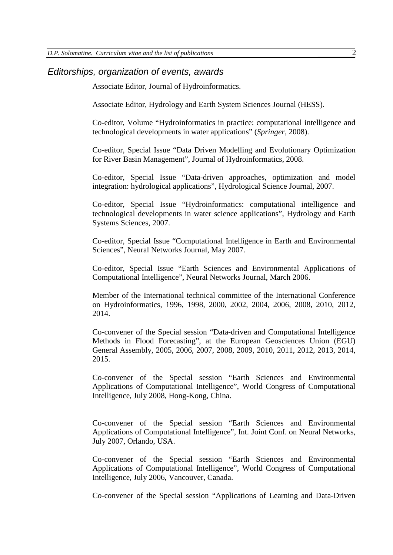### *Editorships, organization of events, awards*

Associate Editor, Journal of Hydroinformatics.

Associate Editor, Hydrology and Earth System Sciences Journal (HESS).

Co-editor, Volume "Hydroinformatics in practice: computational intelligence and technological developments in water applications" (*Springer,* 2008).

Co-editor, Special Issue "Data Driven Modelling and Evolutionary Optimization for River Basin Management", Journal of Hydroinformatics, 2008.

Co-editor, Special Issue "Data-driven approaches, optimization and model integration: hydrological applications", Hydrological Science Journal, 2007.

Co-editor, Special Issue "Hydroinformatics: computational intelligence and technological developments in water science applications", Hydrology and Earth Systems Sciences, 2007.

Co-editor, Special Issue "Computational Intelligence in Earth and Environmental Sciences", Neural Networks Journal, May 2007.

Co-editor, Special Issue "Earth Sciences and Environmental Applications of Computational Intelligence", Neural Networks Journal, March 2006.

Member of the International technical committee of the International Conference on Hydroinformatics, 1996, 1998, 2000, 2002, 2004, 2006, 2008, 2010, 2012, 2014.

Co-convener of the Special session "Data-driven and Computational Intelligence Methods in Flood Forecasting", at the European Geosciences Union (EGU) General Assembly, 2005, 2006, 2007, 2008, 2009, 2010, 2011, 2012, 2013, 2014, 2015.

Co-convener of the Special session "Earth Sciences and Environmental Applications of Computational Intelligence", World Congress of Computational Intelligence, July 2008, Hong-Kong, China.

Co-convener of the Special session "Earth Sciences and Environmental Applications of Computational Intelligence", Int. Joint Conf. on Neural Networks, July 2007, Orlando, USA.

Co-convener of the Special session "Earth Sciences and Environmental Applications of Computational Intelligence", World Congress of Computational Intelligence, July 2006, Vancouver, Canada.

Co-convener of the Special session "Applications of Learning and Data-Driven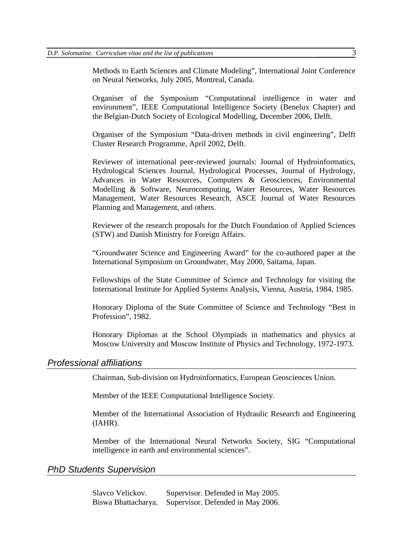Methods to Earth Sciences and Climate Modeling", International Joint Conference on Neural Networks, July 2005, Montreal, Canada.

Organiser of the Symposium "Computational intelligence in water and environment", IEEE Computational Intelligence Society (Benelux Chapter) and the Belgian-Dutch Society of Ecological Modelling, December 2006, Delft.

Organiser of the Symposium "Data-driven methods in civil engineering", Delft Cluster Research Programme, April 2002, Delft.

Reviewer of international peer-reviewed journals: Journal of Hydroinformatics, Hydrological Sciences Journal, Hydrological Processes, Journal of Hydrology, Advances in Water Resources, Computers & Geosciences, Environmental Modelling & Software, Neurocomputing, Water Resources, Water Resources Management, Water Resources Research, ASCE Journal of Water Resources Planning and Management, and others.

Reviewer of the research proposals for the Dutch Foundation of Applied Sciences (STW) and Danish Ministry for Foreign Affairs.

"Groundwater Science and Engineering Award" for the co-authored paper at the International Symposium on Groundwater, May 2000, Saitama, Japan.

Fellowships of the State Committee of Science and Technology for visiting the International Institute for Applied Systems Analysis, Vienna, Austria, 1984, 1985.

Honorary Diploma of the State Committee of Science and Technology "Best in Profession", 1982.

Honorary Diplomas at the School Olympiads in mathematics and physics at Moscow University and Moscow Institute of Physics and Technology, 1972-1973.

### *Professional affiliations*

Chairman, Sub-division on Hydroinformatics, European Geosciences Union.

Member of the IEEE Computational Intelligence Society.

Member of the International Association of Hydraulic Research and Engineering (IAHR).

Member of the International Neural Networks Society, SIG "Computational intelligence in earth and environmental sciences".

### *PhD Students Supervision*

Slavco Velickov. Supervisor. Defended in May 2005. Biswa Bhattacharya. Supervisor. Defended in May 2006.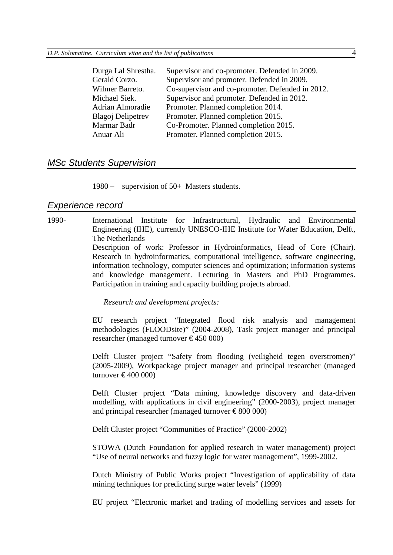| Supervisor and co-promoter. Defended in 2009.    |
|--------------------------------------------------|
| Supervisor and promoter. Defended in 2009.       |
| Co-supervisor and co-promoter. Defended in 2012. |
| Supervisor and promoter. Defended in 2012.       |
| Promoter. Planned completion 2014.               |
| Promoter. Planned completion 2015.               |
| Co-Promoter. Planned completion 2015.            |
| Promoter. Planned completion 2015.               |
|                                                  |

### *MSc Students Supervision*

1980 – supervision of 50+ Masters students.

### *Experience record*

1990- International Institute for Infrastructural, Hydraulic and Environmental Engineering (IHE), currently UNESCO-IHE Institute for Water Education, Delft, The Netherlands Description of work: Professor in Hydroinformatics, Head of Core (Chair).

Research in hydroinformatics, computational intelligence, software engineering, information technology, computer sciences and optimization; information systems and knowledge management. Lecturing in Masters and PhD Programmes. Participation in training and capacity building projects abroad.

*Research and development projects:*

EU research project "Integrated flood risk analysis and management methodologies (FLOODsite)" (2004-2008), Task project manager and principal researcher (managed turnover  $\text{£}450000$ )

Delft Cluster project "Safety from flooding (veiligheid tegen overstromen)" (2005-2009), Workpackage project manager and principal researcher (managed turnover  $\text{£}400000$ 

Delft Cluster project "Data mining, knowledge discovery and data-driven modelling, with applications in civil engineering" (2000-2003), project manager and principal researcher (managed turnover  $\epsilon$ 800 000)

Delft Cluster project "Communities of Practice" (2000-2002)

STOWA (Dutch Foundation for applied research in water management) project "Use of neural networks and fuzzy logic for water management", 1999-2002.

Dutch Ministry of Public Works project "Investigation of applicability of data mining techniques for predicting surge water levels" (1999)

EU project "Electronic market and trading of modelling services and assets for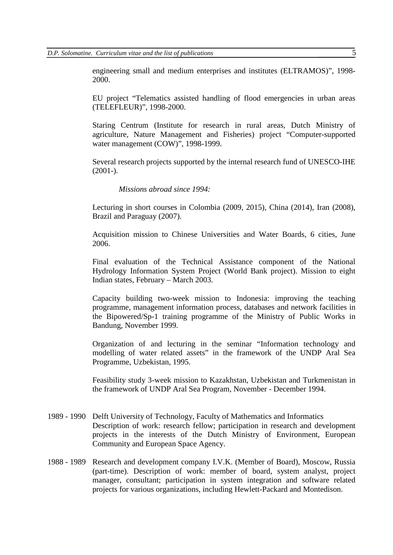engineering small and medium enterprises and institutes (ELTRAMOS)", 1998- 2000.

EU project "Telematics assisted handling of flood emergencies in urban areas (TELEFLEUR)", 1998-2000.

Staring Centrum (Institute for research in rural areas, Dutch Ministry of agriculture, Nature Management and Fisheries) project "Computer-supported water management (COW)", 1998-1999.

Several research projects supported by the internal research fund of UNESCO-IHE  $(2001-).$ 

*Missions abroad since 1994:*

Lecturing in short courses in Colombia (2009, 2015), China (2014), Iran (2008), Brazil and Paraguay (2007).

Acquisition mission to Chinese Universities and Water Boards, 6 cities, June 2006.

Final evaluation of the Technical Assistance component of the National Hydrology Information System Project (World Bank project). Mission to eight Indian states, February – March 2003.

Capacity building two-week mission to Indonesia: improving the teaching programme, management information process, databases and network facilities in the Bipowered/Sp-1 training programme of the Ministry of Public Works in Bandung, November 1999.

Organization of and lecturing in the seminar "Information technology and modelling of water related assets" in the framework of the UNDP Aral Sea Programme, Uzbekistan, 1995.

Feasibility study 3-week mission to Kazakhstan, Uzbekistan and Turkmenistan in the framework of UNDP Aral Sea Program, November - December 1994.

- 1989 1990 Delft University of Technology, Faculty of Mathematics and Informatics Description of work: research fellow; participation in research and development projects in the interests of the Dutch Ministry of Environment, European Community and European Space Agency.
- 1988 1989 Research and development company I.V.K. (Member of Board), Moscow, Russia (part-time). Description of work: member of board, system analyst, project manager, consultant; participation in system integration and software related projects for various organizations, including Hewlett-Packard and Montedison.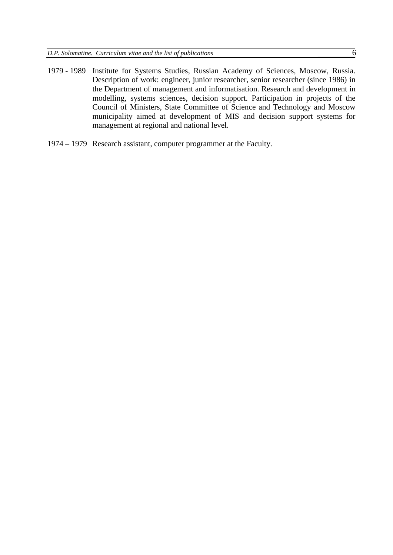- 1979 1989 Institute for Systems Studies, Russian Academy of Sciences, Moscow, Russia. Description of work: engineer, junior researcher, senior researcher (since 1986) in the Department of management and informatisation. Research and development in modelling, systems sciences, decision support. Participation in projects of the Council of Ministers, State Committee of Science and Technology and Moscow municipality aimed at development of MIS and decision support systems for management at regional and national level.
- 1974 1979 Research assistant, computer programmer at the Faculty.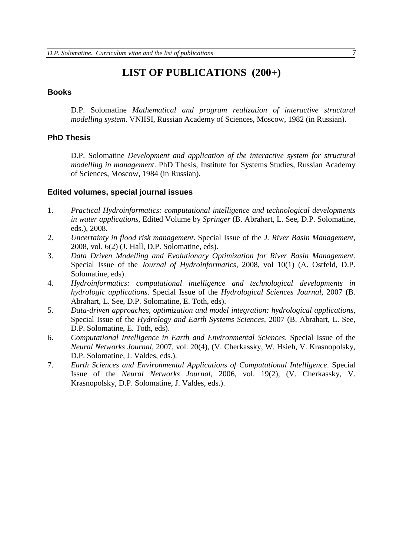## **LIST OF PUBLICATIONS (200+)**

### **Books**

D.P. Solomatine *Mathematical and program realization of interactive structural modelling system*. VNIISI, Russian Academy of Sciences, Moscow, 1982 (in Russian).

### **PhD Thesis**

D.P. Solomatine *Development and application of the interactive system for structural modelling in management*. PhD Thesis, Institute for Systems Studies, Russian Academy of Sciences, Moscow, 1984 (in Russian).

### **Edited volumes, special journal issues**

- 1. *Practical Hydroinformatics: computational intelligence and technological developments in water applications*, Edited Volume by *Springer* (B. Abrahart, L. See, D.P. Solomatine, eds.), 2008.
- 2. *Uncertainty in flood risk management*. Special Issue of the *J. River Basin Management*, 2008, vol. 6(2) (J. Hall, D.P. Solomatine, eds).
- 3. *Data Driven Modelling and Evolutionary Optimization for River Basin Management*. Special Issue of the *Journal of Hydroinformatics,* 2008, vol 10(1) (A. Ostfeld, D.P. Solomatine, eds).
- 4. *Hydroinformatics: computational intelligence and technological developments in hydrologic applications*. Special Issue of the *Hydrological Sciences Journal,* 2007 (B. Abrahart, L. See, D.P. Solomatine, E. Toth, eds).
- 5. *Data-driven approaches, optimization and model integration: hydrological applications*, Special Issue of the *Hydrology and Earth Systems Sciences,* 2007 (B. Abrahart, L. See, D.P. Solomatine, E. Toth, eds).
- 6. *Computational Intelligence in Earth and Environmental Sciences*. Special Issue of the *Neural Networks Journal*, 2007, vol. 20(4), (V. Cherkassky, W. Hsieh, V. Krasnopolsky, D.P. Solomatine, J. Valdes, eds.).
- 7. *Earth Sciences and Environmental Applications of Computational Intelligence*. Special Issue of the *Neural Networks Journal*, 2006, vol. 19(2), (V. Cherkassky, V. Krasnopolsky, D.P. Solomatine, J. Valdes, eds.).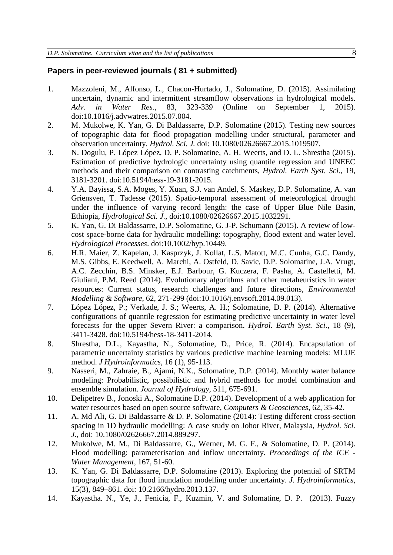### **Papers in peer-reviewed journals ( 81 + submitted)**

- 1. Mazzoleni, M., Alfonso, L., Chacon-Hurtado, J., Solomatine, D. (2015). Assimilating uncertain, dynamic and intermittent streamflow observations in hydrological models. *Adv. in Water Res.*, 83, 323-339 (Online on September 1, 2015). doi:10.1016/j.advwatres.2015.07.004.
- 2. M. Mukolwe, K. Yan, G. Di Baldassarre, D.P. Solomatine (2015). Testing new sources of topographic data for flood propagation modelling under structural, parameter and observation uncertainty. *Hydrol. Sci. J.* doi: 10.1080/02626667.2015.1019507.
- 3. N. Dogulu, P. López López, D. P. Solomatine, A. H. Weerts, and D. L. Shrestha (2015). Estimation of predictive hydrologic uncertainty using quantile regression and UNEEC methods and their comparison on contrasting catchments, *Hydrol. Earth Syst. Sci.,* 19, 3181-3201. doi:10.5194/hess-19-3181-2015.
- 4. Y.A. Bayissa, S.A. Moges, Y. Xuan, S.J. van Andel, S. Maskey, D.P. Solomatine, A. van Griensven, T. Tadesse (2015). Spatio-temporal assessment of meteorological drought under the influence of varying record length: the case of Upper Blue Nile Basin, Ethiopia, *Hydrological Sci. J.*, doi:10.1080/02626667.2015.1032291.
- 5. K. Yan, G. Di Baldassarre, D.P. Solomatine, G. J-P. Schumann (2015). A review of lowcost space-borne data for hydraulic modelling: topography, flood extent and water level. *Hydrological Processes*. doi:10.1002/hyp.10449.
- 6. H.R. Maier, Z. Kapelan, J. Kasprzyk, J. Kollat, L.S. Matott, M.C. Cunha, G.C. Dandy, M.S. Gibbs, E. Keedwell, A. Marchi, A. Ostfeld, D. Savic, D.P. Solomatine, J.A. Vrugt, A.C. Zecchin, B.S. Minsker, E.J. Barbour, G. Kuczera, F. Pasha, A. Castelletti, M. Giuliani, P.M. Reed (2014). Evolutionary algorithms and other metaheuristics in water resources: Current status, research challenges and future directions, *Environmental Modelling & Software*, 62, 271-299 (doi:10.1016/j.envsoft.2014.09.013).
- 7. López López, P.; Verkade, J. S.; Weerts, A. H.; Solomatine, D. P. (2014). Alternative configurations of quantile regression for estimating predictive uncertainty in water level forecasts for the upper Severn River: a comparison. *Hydrol. Earth Syst. Sci*., 18 (9), 3411-3428. doi:10.5194/hess-18-3411-2014.
- 8. Shrestha, D.L., Kayastha, N., Solomatine, D., Price, R. (2014). Encapsulation of parametric uncertainty statistics by various predictive machine learning models: MLUE method. *J Hydroinformatics*, 16 (1), 95-113.
- 9. Nasseri, M., Zahraie, B., Ajami, N.K., Solomatine, D.P. (2014). Monthly water balance modeling: Probabilistic, possibilistic and hybrid methods for model combination and ensemble simulation. *Journal of Hydrology*, 511, 675-691.
- 10. Delipetrev B., Jonoski A., Solomatine D.P. (2014). Development of a web application for water resources based on open source software, *Computers & Geosciences*, 62, 35-42.
- 11. A. Md Ali, G. Di Baldassarre & D. P. Solomatine (2014): Testing different cross-section spacing in 1D hydraulic modelling: A case study on Johor River, Malaysia, *Hydrol. Sci. J.*, doi: 10.1080/02626667.2014.889297.
- 12. Mukolwe, M. M., Di Baldassarre, G., Werner, M. G. F., & Solomatine, D. P. (2014). Flood modelling: parameterisation and inflow uncertainty. *Proceedings of the ICE - Water Management*, 167, 51-60.
- 13. K. Yan, G. Di Baldassarre, D.P. Solomatine (2013). Exploring the potential of SRTM topographic data for flood inundation modelling under uncertainty. *J. Hydroinformatics*, 15(3), 849–861. doi: 10.2166/hydro.2013.137.
- 14. Kayastha. N., Ye, J., Fenicia, F., Kuzmin, V. and Solomatine, D. P. (2013). Fuzzy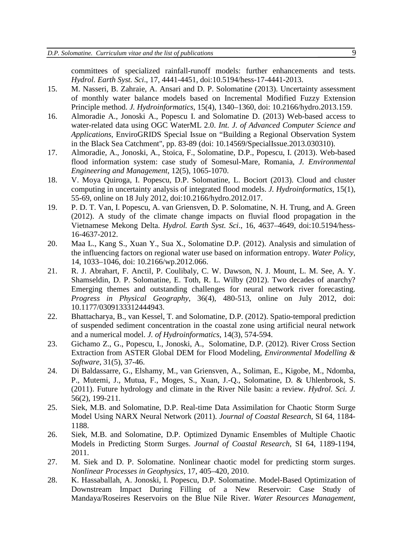committees of specialized rainfall-runoff models: further enhancements and tests. *Hydrol. Earth Syst. Sci*., 17, 4441-4451, doi:10.5194/hess-17-4441-2013.

- 15. M. Nasseri, B. Zahraie, A. Ansari and D. P. Solomatine (2013). Uncertainty assessment of monthly water balance models based on Incremental Modified Fuzzy Extension Principle method. *J. Hydroinformatics*, 15(4), 1340–1360, doi: 10.2166/hydro.2013.159.
- 16. Almoradie A., Jonoski A., Popescu I. and Solomatine D. (2013) Web-based access to water-related data using OGC WaterML 2.0. *Int. J. of Advanced Computer Science and Applications*, EnviroGRIDS Special Issue on "Building a Regional Observation System in the Black Sea Catchment", pp. 83-89 (doi: 10.14569/SpecialIssue.2013.030310).
- 17. Almoradie, A., Jonoski, A., Stoica, F., Solomatine, D.P., Popescu, I. (2013). Web-based flood information system: case study of Somesul-Mare, Romania, *J. Environmental Engineering and Management*, 12(5), 1065-1070.
- 18. V. Moya Quiroga, I. Popescu, D.P. Solomatine, L. Bociort (2013). Cloud and cluster computing in uncertainty analysis of integrated flood models. *J. Hydroinformatics*, 15(1), 55-69, online on 18 July 2012, doi:10.2166/hydro.2012.017.
- 19. P. D. T. Van, I. Popescu, A. van Griensven, D. P. Solomatine, N. H. Trung, and A. Green (2012). A study of the climate change impacts on fluvial flood propagation in the Vietnamese Mekong Delta. *Hydrol. Earth Syst. Sci*., 16, 4637–4649, doi:10.5194/hess-16-4637-2012.
- 20. Maa L., Kang S., Xuan Y., Sua X., Solomatine D.P. (2012). Analysis and simulation of the influencing factors on regional water use based on information entropy. *Water Policy*, 14, 1033–1046, doi: 10.2166/wp.2012.066.
- 21. R. J. Abrahart, F. Anctil, P. Coulibaly, C. W. Dawson, N. J. Mount, L. M. See, A. Y. Shamseldin, D. P. Solomatine, E. Toth, R. L. Wilby (2012). Two decades of anarchy? Emerging themes and outstanding challenges for neural network river forecasting. *Progress in Physical Geography*, 36(4), 480-513, online on July 2012, doi: 10.1177/0309133312444943.
- 22. Bhattacharya, B., van Kessel, T. and Solomatine, D.P. (2012). Spatio-temporal prediction of suspended sediment concentration in the coastal zone using artificial neural network and a numerical model. *J. of Hydroinformatics,* 14(3), 574-594.
- 23. Gichamo Z., G., Popescu, I., Jonoski, A., Solomatine, D.P. (2012). River Cross Section Extraction from ASTER Global DEM for Flood Modeling, *Environmental Modelling & Software*, 31(5), 37-46.
- 24. Di Baldassarre, G., Elshamy, M., van Griensven, A., Soliman, E., Kigobe, M., Ndomba, P., Mutemi, J., Mutua, F., Moges, S., Xuan, J.-Q., Solomatine, D. & Uhlenbrook, S. (2011). Future hydrology and climate in the River Nile basin: a review. *Hydrol. Sci. J.* 56(2), 199-211.
- 25. Siek, M.B. and Solomatine, D.P. Real-time Data Assimilation for Chaotic Storm Surge Model Using NARX Neural Network (2011). *Journal of Coastal Research*, SI 64, 1184- 1188.
- 26. Siek, M.B. and Solomatine, D.P. Optimized Dynamic Ensembles of Multiple Chaotic Models in Predicting Storm Surges. *Journal of Coastal Research*, SI 64, 1189-1194, 2011.
- 27. M. Siek and D. P. Solomatine. Nonlinear chaotic model for predicting storm surges. *Nonlinear Processes in Geophysics*, 17, 405–420, 2010.
- 28. K. Hassaballah, A. Jonoski, I. Popescu, D.P. Solomatine. Model-Based Optimization of Downstream Impact During Filling of a New Reservoir: Case Study of Mandaya/Roseires Reservoirs on the Blue Nile River. *Water Resources Management*,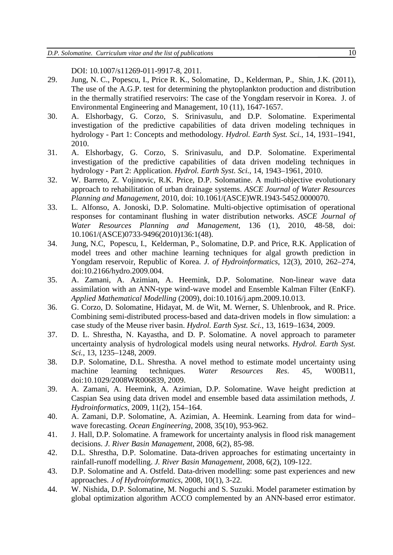DOI: 10.1007/s11269-011-9917-8, 2011.

- 29. Jung, N. C., Popescu, I., Price R. K., Solomatine, D., Kelderman, P., Shin, J.K. (2011), The use of the A.G.P. test for determining the phytoplankton production and distribution in the thermally stratified reservoirs: The case of the Yongdam reservoir in Korea. J. of Environmental Engineering and Management, 10 (11), 1647-1657.
- 30. A. Elshorbagy, G. Corzo, S. Srinivasulu, and D.P. Solomatine. Experimental investigation of the predictive capabilities of data driven modeling techniques in hydrology - Part 1: Concepts and methodology. *Hydrol. Earth Syst. Sci.*, 14, 1931–1941, 2010.
- 31. A. Elshorbagy, G. Corzo, S. Srinivasulu, and D.P. Solomatine. Experimental investigation of the predictive capabilities of data driven modeling techniques in hydrology - Part 2: Application. *Hydrol. Earth Syst. Sci.*, 14, 1943–1961, 2010.
- 32. W. Barreto, Z. Vojinovic, R.K. Price, D.P. Solomatine. A multi-objective evolutionary approach to rehabilitation of urban drainage systems. *ASCE Journal of Water Resources Planning and Management*, 2010, doi: 10.1061/(ASCE)WR.1943-5452.0000070.
- 33. L. Alfonso, A. Jonoski, D.P. Solomatine. Multi-objective optimisation of operational responses for contaminant flushing in water distribution networks. *ASCE Journal of Water Resources Planning and Management*, 136 (1), 2010, 48-58, doi: 10.1061/(ASCE)0733-9496(2010)136:1(48).
- 34. Jung, N.C, Popescu, I., Kelderman, P., Solomatine, D.P. and Price, R.K. Application of model trees and other machine learning techniques for algal growth prediction in Yongdam reservoir, Republic of Korea. *J. of Hydroinformatics*, 12(3), 2010, 262–274, doi:10.2166/hydro.2009.004.
- 35. A. Zamani, A. Azimian, A. Heemink, D.P. Solomatine. Non-linear wave data assimilation with an ANN-type wind-wave model and Ensemble Kalman Filter (EnKF). *Applied Mathematical Modelling* (2009), doi:10.1016/j.apm.2009.10.013.
- 36. G. Corzo, D. Solomatine, Hidayat, M. de Wit, M. Werner, S. Uhlenbrook, and R. Price. Combining semi-distributed process-based and data-driven models in flow simulation: a case study of the Meuse river basin. *Hydrol. Earth Syst. Sci.*, 13, 1619–1634, 2009.
- 37. D. L. Shrestha, N. Kayastha, and D. P. Solomatine. A novel approach to parameter uncertainty analysis of hydrological models using neural networks. *Hydrol. Earth Syst. Sci.*, 13, 1235–1248, 2009.
- 38. D.P. Solomatine, D.L. Shrestha. A novel method to estimate model uncertainty using machine learning techniques. *Water Resources Res*. 45, W00B11, doi:10.1029/2008WR006839, 2009.
- 39. A. Zamani, A. Heemink, A. Azimian, D.P. Solomatine. Wave height prediction at Caspian Sea using data driven model and ensemble based data assimilation methods, *J. Hydroinformatics*, 2009, 11(2), 154–164.
- 40. A. Zamani, D.P. Solomatine, A. Azimian, A. Heemink. Learning from data for wind– wave forecasting. *Ocean Engineering*, 2008, 35(10), 953-962.
- 41. J. Hall, D.P. Solomatine. A framework for uncertainty analysis in flood risk management decisions. *J. River Basin Management*, 2008, 6(2), 85-98.
- 42. D.L. Shrestha, D.P. Solomatine. Data-driven approaches for estimating uncertainty in rainfall-runoff modelling. *J. River Basin Management*, 2008, 6(2), 109-122.
- 43. D.P. Solomatine and A. Ostfeld. Data-driven modelling: some past experiences and new approaches. *J of Hydroinformatics*, 2008, 10(1), 3-22.
- 44. W. Nishida, D.P. Solomatine, M. Noguchi and S. Suzuki. Model parameter estimation by global optimization algorithm ACCO complemented by an ANN-based error estimator.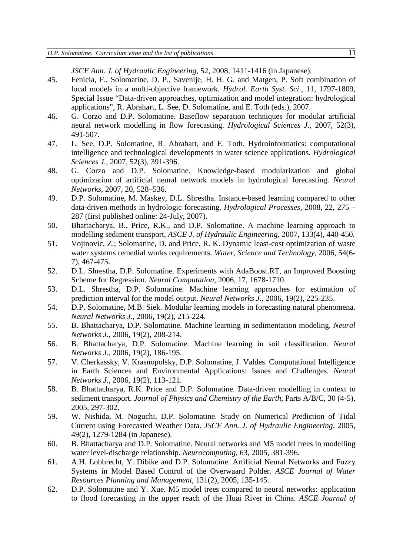*JSCE Ann. J. of Hydraulic Engineering*, 52, 2008, 1411-1416 (in Japanese).

- 45. Fenicia, F., Solomatine, D. P., Savenije, H. H. G. and Matgen, P. Soft combination of local models in a multi-objective framework. *Hydrol. Earth Syst. Sci.,* 11, 1797-1809, Special Issue "Data-driven approaches, optimization and model integration: hydrological applications", R. Abrahart, L. See, D. Solomatine, and E. Toth (eds.), 2007.
- 46. G. Corzo and D.P. Solomatine. Baseflow separation techniques for modular artificial neural network modelling in flow forecasting. *Hydrological Sciences J.*, 2007, 52(3), 491-507.
- 47. L. See, D.P. Solomatine, R. Abrahart, and E. Toth. Hydroinformatics: computational intelligence and technological developments in water science applications. *Hydrological Sciences J*., 2007, 52(3), 391-396.
- 48. G. Corzo and D.P. Solomatine. Knowledge-based modularization and global optimization of artificial neural network models in hydrological forecasting. *Neural Networks,* 2007, 20, 528–536.
- 49. D.P. Solomatine, M. Maskey, D.L. Shrestha. Instance-based learning compared to other data-driven methods in hydrologic forecasting. *Hydrological Processes,* 2008, 22, 275 – 287 (first published online: 24-July, 2007).
- 50. Bhattacharya, B., Price, R.K., and D.P. Solomatine. A machine learning approach to modelling sediment transport, *ASCE J. of Hydraulic Engineering,* 2007, 133(4), 440-450*.*
- 51. Vojinovic, Z.; Solomatine, D. and Price, R. K. Dynamic least-cost optimization of waste water systems remedial works requirements. *Water, Science and Technology*, 2006, 54(6- 7), 467-475.
- 52. D.L. Shrestha, D.P. Solomatine. Experiments with AdaBoost.RT, an Improved Boosting Scheme for Regression. *Neural Computation,* 2006, 17, 1678-1710.
- 53. D.L. Shrestha, D.P. Solomatine. Machine learning approaches for estimation of prediction interval for the model output. *Neural Networks J.*, 2006, 19(2), 225-235.
- 54. D.P. Solomatine, M.B. Siek. Modular learning models in forecasting natural phenomena. *Neural Networks J.*, 2006, 19(2), 215-224.
- 55. B. Bhattacharya, D.P. Solomatine. Machine learning in sedimentation modeling. *Neural Networks J.*, 2006, 19(2), 208-214.
- 56. B. Bhattacharya, D.P. Solomatine. Machine learning in soil classification. *Neural Networks J.*, 2006, 19(2), 186-195.
- 57. V. Cherkassky, V. Krasnopolsky, D.P. Solomatine, J. Valdes. Computational Intelligence in Earth Sciences and Environmental Applications: Issues and Challenges. *Neural Networks J.*, 2006, 19(2), 113-121.
- 58. B. Bhattacharya, R.K. Price and D.P. Solomatine. Data-driven modelling in context to sediment transport. *Journal of Physics and Chemistry of the Earth*, Parts A/B/C, 30 (4-5), 2005, 297-302.
- 59. W. Nishida, M. Noguchi, D.P. Solomatine. Study on Numerical Prediction of Tidal Current using Forecasted Weather Data. *JSCE Ann. J. of Hydraulic Engineering*, 2005, 49(2), 1279-1284 (in Japanese).
- 60. B. Bhattacharya and D.P. Solomatine. Neural networks and M5 model trees in modelling water level-discharge relationship. *Neurocomputing*, 63, 2005, 381-396.
- 61. A.H. Lobbrecht, Y. Dibike and D.P. Solomatine. Artificial Neural Networks and Fuzzy Systems in Model Based Control of the Overwaard Polder. *ASCE Journal of Water Resources Planning and Management*, 131(2), 2005, 135-145.
- 62. D.P. Solomatine and Y. Xue. M5 model trees compared to neural networks: application to flood forecasting in the upper reach of the Huai River in China. *ASCE Journal of*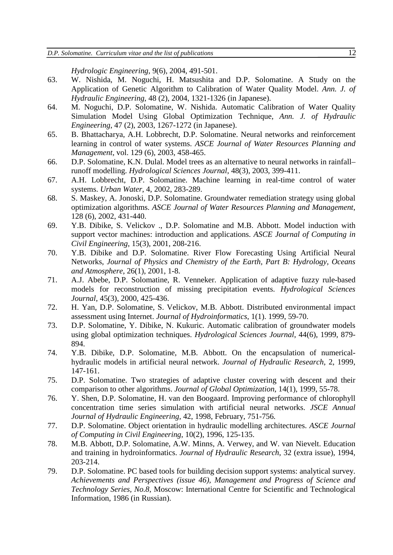*Hydrologic Engineering*, 9(6), 2004, 491-501.

- 63. W. Nishida, M. Noguchi, H. Matsushita and D.P. Solomatine. A Study on the Application of Genetic Algorithm to Calibration of Water Quality Model. *Ann. J. of Hydraulic Engineering*, 48 (2), 2004, 1321-1326 (in Japanese).
- 64. M. Noguchi, D.P. Solomatine, W. Nishida. Automatic Calibration of Water Quality Simulation Model Using Global Optimization Technique, *Ann. J. of Hydraulic Engineering*, 47 (2), 2003, 1267-1272 (in Japanese).
- 65. B. Bhattacharya, A.H. Lobbrecht, D.P. Solomatine. Neural networks and reinforcement learning in control of water systems. *ASCE Journal of Water Resources Planning and Management*, vol. 129 (6), 2003, 458-465.
- 66. D.P. Solomatine, K.N. Dulal. Model trees as an alternative to neural networks in rainfall– runoff modelling. *Hydrological Sciences Journal*, 48(3), 2003, 399-411.
- 67. A.H. Lobbrecht, D.P. Solomatine. Machine learning in real-time control of water systems. *Urban Water*, 4, 2002, 283-289.
- 68. S. Maskey, A. Jonoski, D.P. Solomatine. Groundwater remediation strategy using global optimization algorithms. *ASCE Journal of Water Resources Planning and Management*, 128 (6), 2002, 431-440.
- 69. Y.B. Dibike, S. Velickov ., D.P. Solomatine and M.B. Abbott. Model induction with support vector machines: introduction and applications. *ASCE Journal of Computing in Civil Engineering*, 15(3), 2001, 208-216.
- 70. Y.B. Dibike and D.P. Solomatine. River Flow Forecasting Using Artificial Neural Networks, *Journal of Physics and Chemistry of the Earth, Part B: Hydrology, Oceans and Atmosphere*, 26(1), 2001, 1-8.
- 71. A.J. Abebe, D.P. Solomatine, R. Venneker. Application of adaptive fuzzy rule-based models for reconstruction of missing precipitation events. *Hydrological Sciences Journal*, 45(3), 2000, 425-436.
- 72. H. Yan, D.P. Solomatine, S. Velickov, M.B. Abbott. Distributed environmental impact assessment using Internet. *Journal of Hydroinformatics*, 1(1). 1999, 59-70.
- 73. D.P. Solomatine, Y. Dibike, N. Kukuric. Automatic calibration of groundwater models using global optimization techniques. *Hydrological Sciences Journal*, 44(6), 1999, 879- 894.
- 74. Y.B. Dibike, D.P. Solomatine, M.B. Abbott. On the encapsulation of numericalhydraulic models in artificial neural network. *Journal of Hydraulic Research*, 2, 1999, 147-161.
- 75. D.P. Solomatine. Two strategies of adaptive cluster covering with descent and their comparison to other algorithms. *Journal of Global Optimization*, 14(1), 1999, 55-78.
- 76. Y. Shen, D.P. Solomatine, H. van den Boogaard. Improving performance of chlorophyll concentration time series simulation with artificial neural networks. *JSCE Annual Journal of Hydraulic Engineering,* 42, 1998, February, 751-756*.*
- 77. D.P. Solomatine. Object orientation in hydraulic modelling architectures. *ASCE Journal of Computing in Civil Engineering*, 10(2), 1996, 125-135.
- 78. M.B. Abbott, D.P. Solomatine, A.W. Minns, A. Verwey, and W. van Nievelt. Education and training in hydroinformatics. *Journal of Hydraulic Research*, 32 (extra issue), 1994, 203-214.
- 79. D.P. Solomatine. PC based tools for building decision support systems: analytical survey. *Achievements and Perspectives (issue 46), Management and Progress of Science and Technology Series, No.8,* Moscow: International Centre for Scientific and Technological Information, 1986 (in Russian).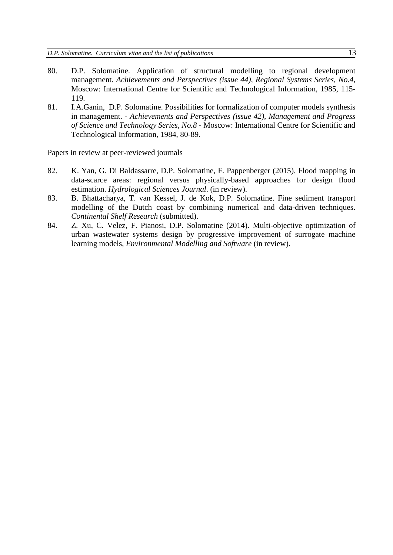- 80. D.P. Solomatine. Application of structural modelling to regional development management. *Achievements and Perspectives (issue 44), Regional Systems Series, No.4,* Moscow: International Centre for Scientific and Technological Information, 1985, 115- 119.
- 81. I.A.Ganin, D.P. Solomatine. Possibilities for formalization of computer models synthesis in management. - *Achievements and Perspectives (issue 42), Management and Progress of Science and Technology Series, No.8* - Moscow: International Centre for Scientific and Technological Information, 1984, 80-89.

Papers in review at peer-reviewed journals

- 82. K. Yan, G. Di Baldassarre, D.P. Solomatine, F. Pappenberger (2015). Flood mapping in data-scarce areas: regional versus physically-based approaches for design flood estimation. *Hydrological Sciences Journal*. (in review).
- 83. B. Bhattacharya, T. van Kessel, J. de Kok, D.P. Solomatine. Fine sediment transport modelling of the Dutch coast by combining numerical and data-driven techniques. *Continental Shelf Research* (submitted).
- 84. Z. Xu, C. Velez, F. Pianosi, D.P. Solomatine (2014). Multi-objective optimization of urban wastewater systems design by progressive improvement of surrogate machine learning models, *Environmental Modelling and Software* (in review).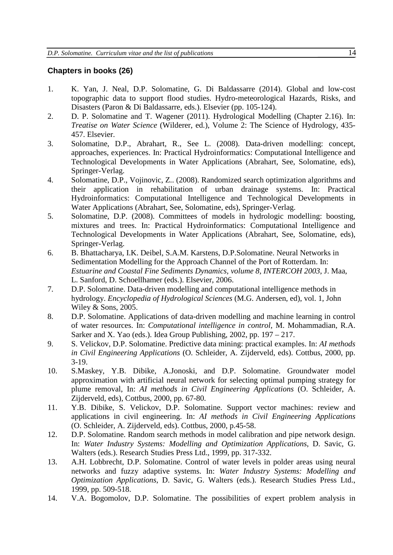### **Chapters in books (26)**

- 1. K. Yan, J. Neal, D.P. Solomatine, G. Di Baldassarre (2014). Global and low-cost topographic data to support flood studies. Hydro-meteorological Hazards, Risks, and Disasters (Paron & Di Baldassarre, eds.). Elsevier (pp. 105-124).
- 2. D. P. Solomatine and T. Wagener (2011). Hydrological Modelling (Chapter 2.16). In: *Treatise on Water Science* (Wilderer, ed.), Volume 2: The Science of Hydrology, 435- 457. Elsevier.
- 3. Solomatine, D.P., Abrahart, R., See L. (2008). Data-driven modelling: concept, approaches, experiences. In: Practical Hydroinformatics: Computational Intelligence and Technological Developments in Water Applications (Abrahart, See, Solomatine, eds), Springer-Verlag.
- 4. Solomatine, D.P., Vojinovic, Z.. (2008). Randomized search optimization algorithms and their application in rehabilitation of urban drainage systems. In: Practical Hydroinformatics: Computational Intelligence and Technological Developments in Water Applications (Abrahart, See, Solomatine, eds), Springer-Verlag.
- 5. Solomatine, D.P. (2008). Committees of models in hydrologic modelling: boosting, mixtures and trees. In: Practical Hydroinformatics: Computational Intelligence and Technological Developments in Water Applications (Abrahart, See, Solomatine, eds), Springer-Verlag.
- 6. B. Bhattacharya, I.K. Deibel, S.A.M. Karstens, D.P.Solomatine. Neural Networks in Sedimentation Modelling for the Approach Channel of the Port of Rotterdam. In: *Estuarine and Coastal Fine Sediments Dynamics, volume 8, INTERCOH 2003*, J. Maa, L. Sanford, D. Schoellhamer (eds.). Elsevier, 2006.
- 7. D.P. Solomatine. Data-driven modelling and computational intelligence methods in hydrology. *Encyclopedia of Hydrological Sciences* (M.G. Andersen, ed), vol. 1, John Wiley & Sons, 2005.
- 8. D.P. Solomatine. Applications of data-driven modelling and machine learning in control of water resources. In: *Computational intelligence in control*, M. Mohammadian, R.A. Sarker and X. Yao (eds.). Idea Group Publishing, 2002, pp. 197 – 217.
- 9. S. Velickov, D.P. Solomatine. Predictive data mining: practical examples. In: *AI methods in Civil Engineering Applications* (O. Schleider, A. Zijderveld, eds). Cottbus, 2000, pp. 3-19.
- 10. S.Maskey, Y.B. Dibike, A.Jonoski, and D.P. Solomatine. Groundwater model approximation with artificial neural network for selecting optimal pumping strategy for plume removal, In: *AI methods in Civil Engineering Applications* (O. Schleider, A. Zijderveld, eds), Cottbus, 2000, pp. 67-80.
- 11. Y.B. Dibike, S. Velickov, D.P. Solomatine. Support vector machines: review and applications in civil engineering. In: *AI methods in Civil Engineering Applications* (O. Schleider, A. Zijderveld, eds). Cottbus, 2000, p.45-58.
- 12. D.P. Solomatine. Random search methods in model calibration and pipe network design. In: *Water Industry Systems: Modelling and Optimization Applications*, D. Savic, G. Walters (eds.). Research Studies Press Ltd., 1999, pp. 317-332.
- 13. A.H. Lobbrecht, D.P. Solomatine. Control of water levels in polder areas using neural networks and fuzzy adaptive systems. In: *Water Industry Systems: Modelling and Optimization Applications*, D. Savic, G. Walters (eds.). Research Studies Press Ltd., 1999, pp. 509-518.
- 14. V.A. Bogomolov, D.P. Solomatine. The possibilities of expert problem analysis in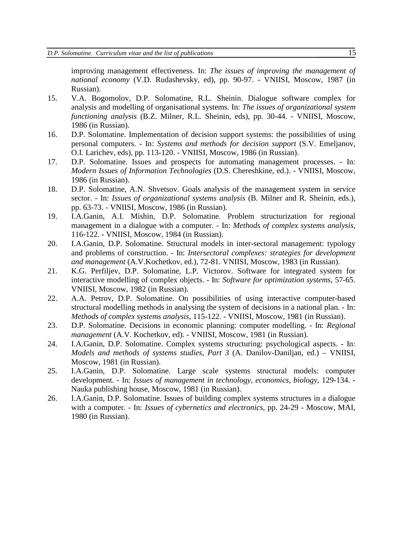improving management effectiveness. In: *The issues of improving the management of national economy* (V.D. Rudashevsky, ed), pp. 90-97. - VNIISI, Moscow, 1987 (in Russian).

- 15. V.A. Bogomolov, D.P. Solomatine, R.L. Sheinin. Dialogue software complex for analysis and modelling of organisational systems. In: *The issues of organizational system functioning analysis* (B.Z. Milner, R.L. Sheinin, eds), pp. 30-44. - VNIISI, Moscow, 1986 (in Russian).
- 16. D.P. Solomatine. Implementation of decision support systems: the possibilities of using personal computers. - In: *Systems and methods for decision support* (S.V. Emeljanov, O.I. Larichev, eds), pp. 113-120. - VNIISI, Moscow, 1986 (in Russian).
- 17. D.P. Solomatine. Issues and prospects for automating management processes. In: *Modern Issues of Information Technologies* (D.S. Chereshkine, ed.). - VNIISI, Moscow, 1986 (in Russian).
- 18. D.P. Solomatine, A.N. Shvetsov. Goals analysis of the management system in service sector. - In: *Issues of organizational systems analysis* (B. Milner and R. Sheinin, eds.), pp. 63-73. - VNIISI, Moscow, 1986 (in Russian).
- 19. I.A.Ganin, A.I. Mishin, D.P. Solomatine. Problem structurization for regional management in a dialogue with a computer. - In: *Methods of complex systems analysis*, 116-122. - VNIISI, Moscow, 1984 (in Russian).
- 20. I.A.Ganin, D.P. Solomatine. Structural models in inter-sectoral management: typology and problems of construction. - In: *Intersectoral complexes: strategies for development and management* (A.V.Kochetkov, ed.), 72-81. VNIISI, Moscow, 1983 (in Russian).
- 21. K.G. Perfiljev, D.P. Solomatine, L.P. Victorov. Software for integrated system for interactive modelling of complex objects. - In: *Software for optimization systems*, 57-65. VNIISI, Moscow, 1982 (in Russian).
- 22. A.A. Petrov, D.P. Solomatine. On possibilities of using interactive computer-based structural modelling methods in analysing the system of decisions in a national plan. - In: *Methods of complex systems analysis*, 115-122. - VNIISI, Moscow, 1981 (in Russian).
- 23. D.P. Solomatine. Decisions in economic planning: computer modelling. In: *Regional management* (A.V. Kochetkov, ed). - VNIISI, Moscow, 1981 (in Russian).
- 24. I.A.Ganin, D.P. Solomatine. Complex systems structuring: psychological aspects. In: *Models and methods of systems studies, Part 3* (A. Danilov-Daniljan, ed.) – VNIISI, Moscow, 1981 (in Russian).
- 25. I.A.Ganin, D.P. Solomatine. Large scale systems structural models: computer development. - In: *Issues of management in technology, economics, biology*, 129-134. - Nauka publishing house, Moscow, 1981 (in Russian).
- 26. I.A.Ganin, D.P. Solomatine. Issues of building complex systems structures in a dialogue with a computer. - In: *Issues of cybernetics and electronics*, pp. 24-29 - Moscow, MAI, 1980 (in Russian).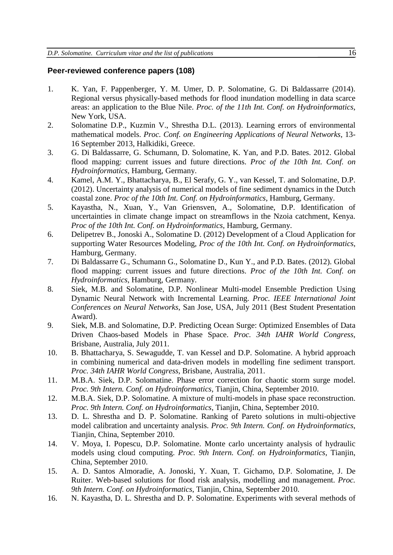### **Peer-reviewed conference papers (108)**

- 1. K. Yan, F. Pappenberger, Y. M. Umer, D. P. Solomatine, G. Di Baldassarre (2014). Regional versus physically-based methods for flood inundation modelling in data scarce areas: an application to the Blue Nile. *Proc. of the 11th Int. Conf. on Hydroinformatics*, New York, USA.
- 2. Solomatine D.P., Kuzmin V., Shrestha D.L. (2013). Learning errors of environmental mathematical models. *Proc. Conf. on Engineering Applications of Neural Networks*, 13- 16 September 2013, Halkidiki, Greece.
- 3. G. Di Baldassarre, G. Schumann, D. Solomatine, K. Yan, and P.D. Bates. 2012. Global flood mapping: current issues and future directions. *Proc of the 10th Int. Conf. on Hydroinformatics*, Hamburg, Germany.
- 4. Kamel, A.M. Y., Bhattacharya, B., El Serafy, G. Y., van Kessel, T. and Solomatine, D.P. (2012). Uncertainty analysis of numerical models of fine sediment dynamics in the Dutch coastal zone. *Proc of the 10th Int. Conf. on Hydroinformatics*, Hamburg, Germany.
- 5. Kayastha, N., Xuan, Y., Van Griensven, A., Solomatine, D.P. Identification of uncertainties in climate change impact on streamflows in the Nzoia catchment, Kenya. *Proc of the 10th Int. Conf. on Hydroinformatics*, Hamburg, Germany.
- 6. Delipetrev B., Jonoski A., Solomatine D. (2012) Development of a Cloud Application for supporting Water Resources Modeling, *Proc of the 10th Int. Conf. on Hydroinformatics*, Hamburg, Germany.
- 7. Di Baldassarre G., Schumann G., Solomatine D., Kun Y., and P.D. Bates. (2012). Global flood mapping: current issues and future directions. *Proc of the 10th Int. Conf. on Hydroinformatics*, Hamburg, Germany.
- 8. Siek, M.B. and Solomatine, D.P. Nonlinear Multi-model Ensemble Prediction Using Dynamic Neural Network with Incremental Learning. *Proc. IEEE International Joint Conferences on Neural Networks*, San Jose, USA, July 2011 (Best Student Presentation Award).
- 9. Siek, M.B. and Solomatine, D.P. Predicting Ocean Surge: Optimized Ensembles of Data Driven Chaos-based Models in Phase Space. *Proc. 34th IAHR World Congress*, Brisbane, Australia, July 2011.
- 10. B. Bhattacharya, S. Sewagudde, T. van Kessel and D.P. Solomatine. A hybrid approach in combining numerical and data-driven models in modelling fine sediment transport. *Proc. 34th IAHR World Congress*, Brisbane, Australia, 2011.
- 11. M.B.A. Siek, D.P. Solomatine. Phase error correction for chaotic storm surge model. *Proc. 9th Intern. Conf. on Hydroinformatics*, Tianjin, China, September 2010.
- 12. M.B.A. Siek, D.P. Solomatine. A mixture of multi-models in phase space reconstruction. *Proc. 9th Intern. Conf. on Hydroinformatics*, Tianjin, China, September 2010.
- 13. D. L. Shrestha and D. P. Solomatine. Ranking of Pareto solutions in multi-objective model calibration and uncertainty analysis. *Proc. 9th Intern. Conf. on Hydroinformatics*, Tianjin, China, September 2010.
- 14. V. Moya, I. Popescu, D.P. Solomatine. Monte carlo uncertainty analysis of hydraulic models using cloud computing. *Proc. 9th Intern. Conf. on Hydroinformatics*, Tianjin, China, September 2010.
- 15. A. D. Santos Almoradie, A. Jonoski, Y. Xuan, T. Gichamo, D.P. Solomatine, J. De Ruiter. Web-based solutions for flood risk analysis, modelling and management. *Proc. 9th Intern. Conf. on Hydroinformatics*, Tianjin, China, September 2010.
- 16. N. Kayastha, D. L. Shrestha and D. P. Solomatine. Experiments with several methods of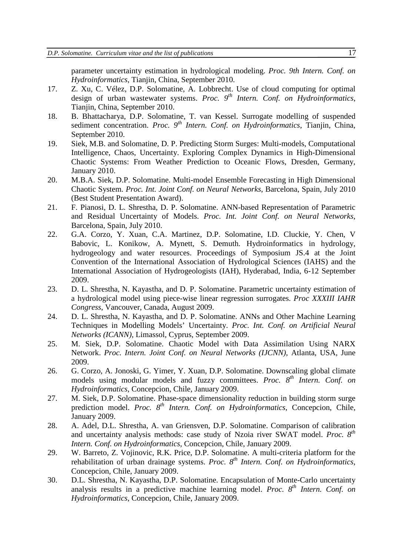parameter uncertainty estimation in hydrological modeling. *Proc. 9th Intern. Conf. on Hydroinformatics*, Tianjin, China, September 2010.

- 17. Z. Xu, C. Vélez, D.P. Solomatine, A. Lobbrecht. Use of cloud computing for optimal design of urban wastewater systems. *Proc.* 9<sup>th</sup> Intern. Conf. on Hydroinformatics. Tianjin, China, September 2010.
- 18. B. Bhattacharya, D.P. Solomatine, T. van Kessel. Surrogate modelling of suspended sediment concentration. *Proc.* 9<sup>th</sup> *Intern. Conf. on Hydroinformatics*, Tianjin, China, September 2010.
- 19. Siek, M.B. and Solomatine, D. P. Predicting Storm Surges: Multi-models, Computational Intelligence, Chaos, Uncertainty. Exploring Complex Dynamics in High-Dimensional Chaotic Systems: From Weather Prediction to Oceanic Flows, Dresden, Germany, January 2010.
- 20. M.B.A. Siek, D.P. Solomatine. Multi-model Ensemble Forecasting in High Dimensional Chaotic System. *Proc. Int. Joint Conf. on Neural Networks*, Barcelona, Spain, July 2010 (Best Student Presentation Award).
- 21. F. Pianosi, D. L. Shrestha, D. P. Solomatine. ANN-based Representation of Parametric and Residual Uncertainty of Models. *Proc. Int. Joint Conf. on Neural Networks*, Barcelona, Spain, July 2010.
- 22. G.A. Corzo, Y. Xuan, C.A. Martinez, D.P. Solomatine, I.D. Cluckie, Y. Chen, V Babovic, L. Konikow, A. Mynett, S. Demuth. Hydroinformatics in hydrology, hydrogeology and water resources. Proceedings of Symposium JS.4 at the Joint Convention of the International Association of Hydrological Sciences (IAHS) and the International Association of Hydrogeologists (IAH), Hyderabad, India, 6-12 September 2009.
- 23. D. L. Shrestha, N. Kayastha, and D. P. Solomatine. Parametric uncertainty estimation of a hydrological model using piece-wise linear regression surrogates. *Proc XXXIII IAHR Congress*, Vancouver, Canada, August 2009.
- 24. D. L. Shrestha, N. Kayastha, and D. P. Solomatine. ANNs and Other Machine Learning Techniques in Modelling Models' Uncertainty. *Proc. Int. Conf. on Artificial Neural Networks (ICANN)*, Limassol, Cyprus, September 2009.
- 25. M. Siek, D.P. Solomatine. Chaotic Model with Data Assimilation Using NARX Network. *Proc. Intern. Joint Conf. on Neural Networks (IJCNN)*, Atlanta, USA, June 2009.
- 26. G. Corzo, A. Jonoski, G. Yimer, Y. Xuan, D.P. Solomatine. Downscaling global climate models using modular models and fuzzy committees. *Proc. 8th Intern. Conf. on Hydroinformatics*, Concepcion, Chile, January 2009.
- 27. M. Siek, D.P. Solomatine. Phase-space dimensionality reduction in building storm surge prediction model. *Proc.*  $8^{th}$  *Intern. Conf. on Hydroinformatics*, Concepcion, Chile, January 2009.
- 28. A. Adel, D.L. Shrestha, A. van Griensven, D.P. Solomatine. Comparison of calibration and uncertainty analysis methods: case study of Nzoia river SWAT model. *Proc. 8th Intern. Conf. on Hydroinformatics*, Concepcion, Chile, January 2009.
- 29. W. Barreto, Z. Vojinovic, R.K. Price, D.P. Solomatine. A multi-criteria platform for the rehabilitation of urban drainage systems. *Proc. 8th Intern. Conf. on Hydroinformatics*, Concepcion, Chile, January 2009.
- 30. D.L. Shrestha, N. Kayastha, D.P. Solomatine. Encapsulation of Monte-Carlo uncertainty analysis results in a predictive machine learning model. *Proc. 8th Intern. Conf. on Hydroinformatics*, Concepcion, Chile, January 2009.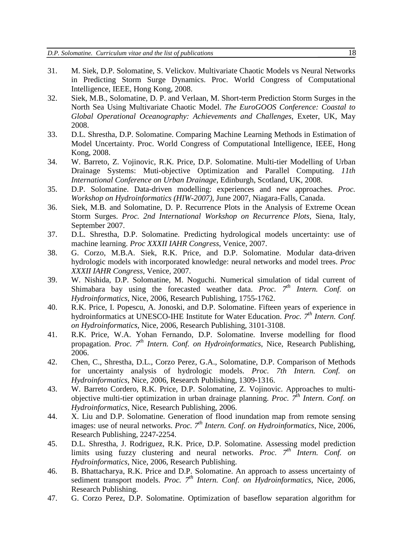- 31. M. Siek, D.P. Solomatine, S. Velickov. Multivariate Chaotic Models vs Neural Networks in Predicting Storm Surge Dynamics. Proc. World Congress of Computational Intelligence, IEEE, Hong Kong, 2008.
- 32. Siek, M.B., Solomatine, D. P. and Verlaan, M. Short-term Prediction Storm Surges in the North Sea Using Multivariate Chaotic Model. *The EuroGOOS Conference: Coastal to Global Operational Oceanography: Achievements and Challenges*, Exeter, UK, May 2008.
- 33. D.L. Shrestha, D.P. Solomatine. Comparing Machine Learning Methods in Estimation of Model Uncertainty. Proc. World Congress of Computational Intelligence, IEEE, Hong Kong, 2008.
- 34. W. Barreto, Z. Vojinovic, R.K. Price, D.P. Solomatine. Multi-tier Modelling of Urban Drainage Systems: Muti-objective Optimization and Parallel Computing. *11th International Conference on Urban Drainage*, Edinburgh, Scotland, UK, 2008.
- 35. D.P. Solomatine. Data-driven modelling: experiences and new approaches. *Proc. Workshop on Hydroinformatics (HIW-2007)*, June 2007, Niagara-Falls, Canada.
- 36. Siek, M.B. and Solomatine, D. P. Recurrence Plots in the Analysis of Extreme Ocean Storm Surges. *Proc. 2nd International Workshop on Recurrence Plots*, Siena, Italy, September 2007.
- 37. D.L. Shrestha, D.P. Solomatine. Predicting hydrological models uncertainty: use of machine learning. *Proc XXXII IAHR Congress*, Venice, 2007.
- 38. G. Corzo, M.B.A. Siek, R.K. Price, and D.P. Solomatine. Modular data-driven hydrologic models with incorporated knowledge: neural networks and model trees. *Proc XXXII IAHR Congress*, Venice, 2007.
- 39. W. Nishida, D.P. Solomatine, M. Noguchi. Numerical simulation of tidal current of Shimabara bay using the forecasted weather data. *Proc.*  $7<sup>th</sup>$  *Intern. Conf. on Hydroinformatics*, Nice, 2006, Research Publishing, 1755-1762.
- 40. R.K. Price, I. Popescu, A. Jonoski, and D.P. Solomatine. Fifteen years of experience in hydroinformatics at UNESCO-IHE Institute for Water Education. *Proc.* 7<sup>th</sup> Intern. Conf. *on Hydroinformatics*, Nice, 2006, Research Publishing, 3101-3108.
- 41. R.K. Price, W.A. Yohan Fernando, D.P. Solomatine. Inverse modelling for flood propagation. *Proc.* 7<sup>th</sup> *Intern. Conf. on Hydroinformatics*, Nice, Research Publishing, 2006.
- 42. Chen, C., Shrestha, D.L., Corzo Perez, G.A., Solomatine, D.P. Comparison of Methods for uncertainty analysis of hydrologic models. *Proc. 7th Intern. Conf. on Hydroinformatics*, Nice, 2006, Research Publishing, 1309-1316.
- 43. W. Barreto Cordero, R.K. Price, D.P. Solomatine, Z. Vojinovic. Approaches to multiobjective multi-tier optimization in urban drainage planning. *Proc. 7th Intern. Conf. on Hydroinformatics*, Nice, Research Publishing, 2006.
- 44. X. Liu and D.P. Solomatine. Generation of flood inundation map from remote sensing images: use of neural networks. *Proc.* 7<sup>th</sup> *Intern. Conf. on Hydroinformatics*, Nice, 2006, Research Publishing, 2247-2254.
- 45. D.L. Shrestha, J. Rodriguez, R.K. Price, D.P. Solomatine. Assessing model prediction limits using fuzzy clustering and neural networks. *Proc.* 7<sup>th</sup> *Intern. Conf. on Hydroinformatics*, Nice, 2006, Research Publishing.
- 46. B. Bhattacharya, R.K. Price and D.P. Solomatine. An approach to assess uncertainty of sediment transport models. *Proc.* 7<sup>th</sup> *Intern. Conf. on Hydroinformatics*, Nice, 2006, Research Publishing.
- 47. G. Corzo Perez, D.P. Solomatine. Optimization of baseflow separation algorithm for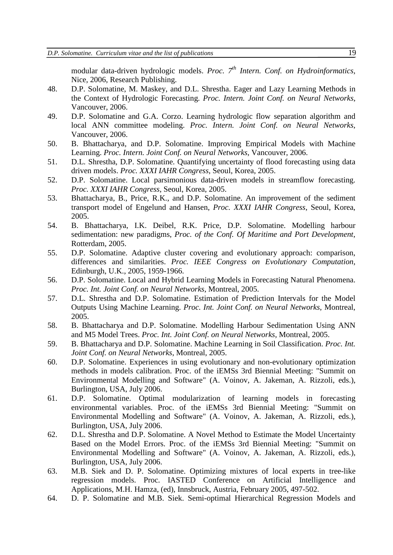modular data-driven hydrologic models. *Proc. 7th Intern. Conf. on Hydroinformatics,*  Nice, 2006, Research Publishing.

- 48. D.P. Solomatine, M. Maskey, and D.L. Shrestha. Eager and Lazy Learning Methods in the Context of Hydrologic Forecasting. *Proc. Intern. Joint Conf. on Neural Networks*, Vancouver, 2006.
- 49. D.P. Solomatine and G.A. Corzo. Learning hydrologic flow separation algorithm and local ANN committee modeling. *Proc. Intern. Joint Conf. on Neural Networks*, Vancouver, 2006.
- 50. B. Bhattacharya, and D.P. Solomatine. Improving Empirical Models with Machine Learning. *Proc. Intern. Joint Conf. on Neural Networks*, Vancouver, 2006.
- 51. D.L. Shrestha, D.P. Solomatine. Quantifying uncertainty of flood forecasting using data driven models. *Proc. XXXI IAHR Congress*, Seoul, Korea, 2005.
- 52. D.P. Solomatine. Local parsimonious data-driven models in streamflow forecasting. *Proc. XXXI IAHR Congress*, Seoul, Korea, 2005.
- 53. Bhattacharya, B., Price, R.K., and D.P. Solomatine. An improvement of the sediment transport model of Engelund and Hansen, *Proc. XXXI IAHR Congress*, Seoul, Korea, 2005.
- 54. B. Bhattacharya, I.K. Deibel, R.K. Price, D.P. Solomatine. Modelling harbour sedimentation: new paradigms, *Proc. of the Conf. Of Maritime and Port Development*, Rotterdam, 2005.
- 55. D.P. Solomatine. Adaptive cluster covering and evolutionary approach: comparison, differences and similarities. *Proc. IEEE Congress on Evolutionary Computation*, Edinburgh, U.K., 2005, 1959-1966.
- 56. D.P. Solomatine. Local and Hybrid Learning Models in Forecasting Natural Phenomena. *Proc. Int. Joint Conf. on Neural Networks*, Montreal, 2005.
- 57. D.L. Shrestha and D.P. Solomatine. Estimation of Prediction Intervals for the Model Outputs Using Machine Learning. *Proc. Int. Joint Conf. on Neural Networks*, Montreal, 2005.
- 58. B. Bhattacharya and D.P. Solomatine. Modelling Harbour Sedimentation Using ANN and M5 Model Trees. *Proc. Int. Joint Conf. on Neural Networks*, Montreal, 2005.
- 59. B. Bhattacharya and D.P. Solomatine. Machine Learning in Soil Classification. *Proc. Int. Joint Conf. on Neural Networks*, Montreal, 2005.
- 60. D.P. Solomatine. Experiences in using evolutionary and non-evolutionary optimization methods in models calibration. Proc. of the iEMSs 3rd Biennial Meeting: "Summit on Environmental Modelling and Software" (A. Voinov, A. Jakeman, A. Rizzoli, eds.), Burlington, USA, July 2006.
- 61. D.P. Solomatine. Optimal modularization of learning models in forecasting environmental variables. Proc. of the iEMSs 3rd Biennial Meeting: "Summit on Environmental Modelling and Software" (A. Voinov, A. Jakeman, A. Rizzoli, eds.), Burlington, USA, July 2006.
- 62. D.L. Shrestha and D.P. Solomatine. A Novel Method to Estimate the Model Uncertainty Based on the Model Errors. Proc. of the iEMSs 3rd Biennial Meeting: "Summit on Environmental Modelling and Software" (A. Voinov, A. Jakeman, A. Rizzoli, eds.), Burlington, USA, July 2006.
- 63. M.B. Siek and D. P. Solomatine. Optimizing mixtures of local experts in tree-like regression models. Proc. IASTED Conference on Artificial Intelligence and Applications, M.H. Hamza, (ed), Innsbruck, Austria, February 2005, 497-502.
- 64. D. P. Solomatine and M.B. Siek. Semi-optimal Hierarchical Regression Models and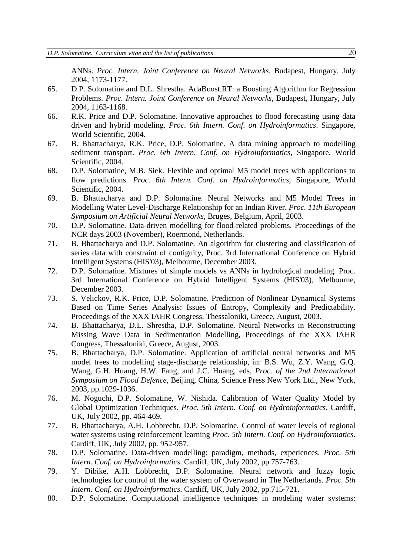ANNs. *Proc. Intern. Joint Conference on Neural Networks*, Budapest, Hungary, July 2004, 1173-1177.

- 65. D.P. Solomatine and D.L. Shrestha. AdaBoost.RT: a Boosting Algorithm for Regression Problems. *Proc. Intern. Joint Conference on Neural Networks*, Budapest, Hungary, July 2004, 1163-1168.
- 66. R.K. Price and D.P. Solomatine. Innovative approaches to flood forecasting using data driven and hybrid modeling. *Proc. 6th Intern. Conf. on Hydroinformatics*. Singapore, World Scientific, 2004.
- 67. B. Bhattacharya, R.K. Price, D.P. Solomatine. A data mining approach to modelling sediment transport. *Proc. 6th Intern. Conf. on Hydroinformatics,* Singapore, World Scientific, 2004.
- 68. D.P. Solomatine, M.B. Siek. Flexible and optimal M5 model trees with applications to flow predictions. *Proc. 6th Intern. Conf. on Hydroinformatics,* Singapore, World Scientific, 2004.
- 69. B. Bhattacharya and D.P. Solomatine. Neural Networks and M5 Model Trees in Modelling Water Level-Discharge Relationship for an Indian River. *Proc. 11th European Symposium on Artificial Neural Networks*, Bruges, Belgium, April, 2003.
- 70. D.P. Solomatine. Data-driven modelling for flood-related problems. Proceedings of the NCR days 2003 (November), Roermond, Netherlands.
- 71. B. Bhattacharya and D.P. Solomatine. An algorithm for clustering and classification of series data with constraint of contiguity, Proc. 3rd International Conference on Hybrid Intelligent Systems (HIS'03), Melbourne, December 2003.
- 72. D.P. Solomatine. Mixtures of simple models vs ANNs in hydrological modeling. Proc. 3rd International Conference on Hybrid Intelligent Systems (HIS'03), Melbourne, December 2003.
- 73. S. Velickov, R.K. Price, D.P. Solomatine. Prediction of Nonlinear Dynamical Systems Based on Time Series Analysis: Issues of Entropy, Complexity and Predictability. Proceedings of the XXX IAHR Congress, Thessaloniki, Greece, August, 2003.
- 74. B. Bhattacharya, D.L. Shrestha, D.P. Solomatine. Neural Networks in Reconstructing Missing Wave Data in Sedimentation Modelling, Proceedings of the XXX IAHR Congress, Thessaloniki, Greece, August, 2003.
- 75. B. Bhattacharya, D.P. Solomatine. Application of artificial neural networks and M5 model trees to modelling stage-discharge relationship, in: B.S. Wu, Z.Y. Wang, G.Q. Wang, G.H. Huang, H.W. Fang, and J.C. Huang, eds, *Proc. of the 2nd International Symposium on Flood Defence*, Beijing, China, Science Press New York Ltd., New York, 2003, pp.1029-1036.
- 76. M. Noguchi, D.P. Solomatine, W. Nishida. Calibration of Water Quality Model by Global Optimization Techniques. *Proc. 5th Intern. Conf. on Hydroinformatics*. Cardiff, UK, July 2002, pp. 464-469.
- 77. B. Bhattacharya, A.H. Lobbrecht, D.P. Solomatine. Control of water levels of regional water systems using reinforcement learning *Proc. 5th Intern. Conf. on Hydroinformatics*. Cardiff, UK, July 2002, pp. 952-957.
- 78. D.P. Solomatine. Data-driven modelling: paradigm, methods, experiences. *Proc. 5th Intern. Conf. on Hydroinformatics*. Cardiff, UK, July 2002, pp.757-763.
- 79. Y. Dibike, A.H. Lobbrecht, D.P. Solomatine. Neural network and fuzzy logic technologies for control of the water system of Overwaard in The Netherlands. *Proc. 5th Intern. Conf. on Hydroinformatics*. Cardiff, UK, July 2002, pp.715-721.
- 80. D.P. Solomatine. Computational intelligence techniques in modeling water systems: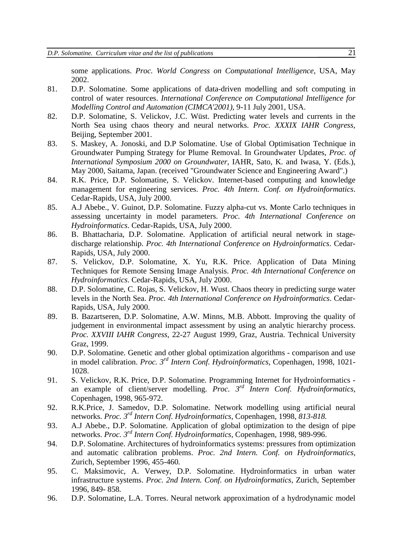some applications. *Proc. World Congress on Computational Intelligence*, USA, May 2002.

- 81. D.P. Solomatine. Some applications of data-driven modelling and soft computing in control of water resources. *International Conference on Computational Intelligence for Modelling Control and Automation (CIMCA'2001)*, 9-11 July 2001, USA.
- 82. D.P. Solomatine, S. Velickov, J.C. Wüst. Predicting water levels and currents in the North Sea using chaos theory and neural networks. *Proc. XXXIX IAHR Congress*, Beijing, September 2001.
- 83. S. Maskey, A. Jonoski, and D.P Solomatine. Use of Global Optimisation Technique in Groundwater Pumping Strategy for Plume Removal. In Groundwater Updates, *Proc. of International Symposium 2000 on Groundwater*, IAHR, Sato, K. and Iwasa, Y. (Eds.), May 2000, Saitama, Japan. (received "Groundwater Science and Engineering Award".)
- 84. R.K. Price, D.P. Solomatine, S. Velickov. Internet-based computing and knowledge management for engineering services. *Proc. 4th Intern. Conf. on Hydroinformatics*. Cedar-Rapids, USA, July 2000.
- 85. A.J Abebe., V. Guinot, D.P. Solomatine. Fuzzy alpha-cut vs. Monte Carlo techniques in assessing uncertainty in model parameters. *Proc. 4th International Conference on Hydroinformatics*. Cedar-Rapids, USA, July 2000.
- 86. B. Bhattacharia, D.P. Solomatine. Application of artificial neural network in stagedischarge relationship. *Proc. 4th International Conference on Hydroinformatics*. Cedar-Rapids, USA, July 2000.
- 87. S. Velickov, D.P. Solomatine, X. Yu, R.K. Price. Application of Data Mining Techniques for Remote Sensing Image Analysis. *Proc. 4th International Conference on Hydroinformatics*. Cedar-Rapids, USA, July 2000.
- 88. D.P. Solomatine, C. Rojas, S. Velickov, H. Wust. Chaos theory in predicting surge water levels in the North Sea. *Proc. 4th International Conference on Hydroinformatics*. Cedar-Rapids, USA, July 2000.
- 89. B. Bazartseren, D.P. Solomatine, A.W. Minns, M.B. Abbott. Improving the quality of judgement in environmental impact assessment by using an analytic hierarchy process. *Proc. XXVIII IAHR Congress*, 22-27 August 1999, Graz, Austria. Technical University Graz, 1999.
- 90. D.P. Solomatine. Genetic and other global optimization algorithms comparison and use in model calibration. *Proc. 3rd Intern Conf. Hydroinformatics*, Copenhagen, 1998, 1021- 1028.
- 91. S. Velickov, R.K. Price, D.P. Solomatine. Programming Internet for Hydroinformatics an example of client/server modelling. *Proc. 3rd Intern Conf. Hydroinformatics*, Copenhagen, 1998, 965-972.
- 92. R.K.Price, J. Samedov, D.P. Solomatine. Network modelling using artificial neural networks. *Proc. 3rd Intern Conf. Hydroinformatics*, Copenhagen, 1998, *813-818.*
- 93. A.J Abebe., D.P. Solomatine. Application of global optimization to the design of pipe networks. *Proc. 3rd Intern Conf. Hydroinformatics*, Copenhagen, 1998, 989-996.
- 94. D.P. Solomatine. Architectures of hydroinformatics systems: pressures from optimization and automatic calibration problems. *Proc. 2nd Intern. Conf. on Hydroinformatics,*  Zurich, September 1996, 455-460*.*
- 95. C. Maksimovic, A. Verwey, D.P. Solomatine. Hydroinformatics in urban water infrastructure systems. *Proc. 2nd Intern. Conf. on Hydroinformatics,* Zurich, September 1996, 849- 858*.*
- 96. D.P. Solomatine, L.A. Torres. Neural network approximation of a hydrodynamic model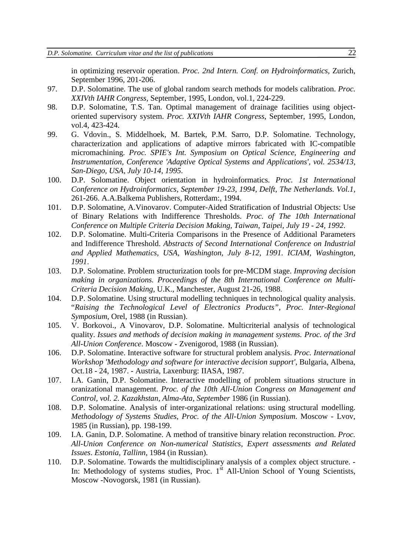in optimizing reservoir operation. *Proc. 2nd Intern. Conf. on Hydroinformatics,* Zurich, September 1996, 201-206.

- 97. D.P. Solomatine. The use of global random search methods for models calibration. *Proc. XXIVth IAHR Congress,* September, 1995, London, vol.1, 224-229.
- 98. D.P. Solomatine, T.S. Tan. Optimal management of drainage facilities using objectoriented supervisory system. *Proc. XXIVth IAHR Congress*, September, 1995, London, vol.4, 423-424.
- 99. G. Vdovin., S. Middelhoek, M. Bartek, P.M. Sarro, D.P. Solomatine. Technology, characterization and applications of adaptive mirrors fabricated with IC-compatible micromachining. *Proc. SPIE's Int. Symposium on Optical Science, Engineering and Instrumentation, Conference 'Adaptive Optical Systems and Applications', vol. 2534/13, San-Diego, USA, July 10-14, 1995*.
- 100. D.P. Solomatine. Object orientation in hydroinformatics. *Proc. 1st International Conference on Hydroinformatics, September 19-23, 1994, Delft, The Netherlands. Vol.1*, 261-266. A.A.Balkema Publishers, Rotterdam:, 1994.
- 101. D.P. Solomatine, A.Vinovarov. Computer-Aided Stratification of Industrial Objects: Use of Binary Relations with Indifference Thresholds. *Proc. of The 10th International Conference on Multiple Criteria Decision Making, Taiwan, Taipei, July 19 - 24, 1992*.
- 102. D.P. Solomatine. Multi-Criteria Comparisons in the Presence of Additional Parameters and Indifference Threshold. *Abstracts of Second International Conference on Industrial and Applied Mathematics, USA, Washington, July 8-12, 1991. ICIAM, Washington, 1991*.
- 103. D.P. Solomatine. Problem structurization tools for pre-MCDM stage. *Improving decision making in organizations. Proceedings of the 8th International Conference on Multi-Criteria Decision Making*, U.K., Manchester, August 21-26, 1988.
- 104. D.P. Solomatine. Using structural modelling techniques in technological quality analysis. "*Raising the Technological Level of Electronics Products", Proc. Inter-Regional Symposium*, Orel, 1988 (in Russian).
- 105. V. Borkovoi., A Vinovarov, D.P. Solomatine. Multicriterial analysis of technological quality. *Issues and methods of decision making in management systems. Proc. of the 3rd All-Union Conference*. Moscow - Zvenigorod, 1988 (in Russian).
- 106. D.P. Solomatine. Interactive software for structural problem analysis. *Proc. International Workshop 'Methodology and software for interactive decision support'*, Bulgaria, Albena, Oct.18 - 24, 1987. - Austria, Laxenburg: IIASA, 1987.
- 107. I.A. Ganin, D.P. Solomatine. Interactive modelling of problem situations structure in oranizational management. *Proc. of the 10th All-Union Congress on Management and Control, vol. 2. Kazakhstan, Alma-Ata, September* 1986 (in Russian).
- 108. D.P. Solomatine. Analysis of inter-organizational relations: using structural modelling. *Methodology of Systems Studies*, *Proc. of the All-Union Symposium*. Moscow - Lvov, 1985 (in Russian), pp. 198-199.
- 109. I.A. Ganin, D.P. Solomatine. A method of transitive binary relation reconstruction. *Proc. All-Union Conference on Non-numerical Statistics, Expert assessments and Related Issues*. *Estonia, Tallinn*, 1984 (in Russian).
- 110. D.P. Solomatine. Towards the multidisciplinary analysis of a complex object structure. In: Methodology of systems studies, Proc.  $1<sup>st</sup>$  All-Union School of Young Scientists, Moscow -Novogorsk, 1981 (in Russian).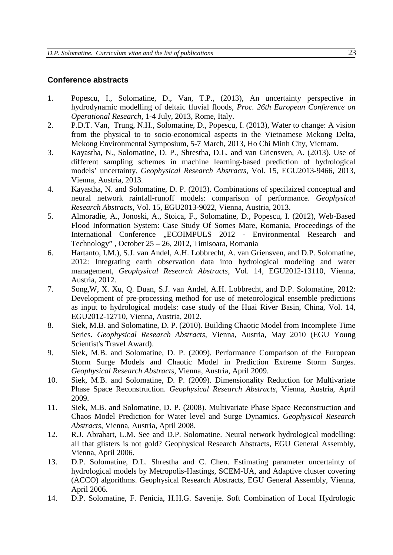### **Conference abstracts**

- 1. Popescu, I., Solomatine, D., Van, T.P., (2013), An uncertainty perspective in hydrodynamic modelling of deltaic fluvial floods, *Proc. 26th European Conference on Operational Research*, 1-4 July, 2013, Rome, Italy.
- 2. P.D.T. Van, Trung, N.H., Solomatine, D., Popescu, I. (2013), Water to change: A vision from the physical to to socio-economical aspects in the Vietnamese Mekong Delta, Mekong Environmental Symposium, 5-7 March, 2013, Ho Chi Minh City, Vietnam.
- 3. Kayastha, N., Solomatine, D. P., Shrestha, D.L. and van Griensven, A. (2013). Use of different sampling schemes in machine learning-based prediction of hydrological models' uncertainty. *Geophysical Research Abstracts*, Vol. 15, EGU2013-9466, 2013, Vienna, Austria, 2013.
- 4. Kayastha, N. and Solomatine, D. P. (2013). Combinations of specilaized conceptual and neural network rainfall-runoff models: comparison of performance. *Geophysical Research Abstracts*, Vol. 15, EGU2013-9022, Vienna, Austria, 2013.
- 5. Almoradie, A., Jonoski, A., Stoica, F., Solomatine, D., Popescu, I. (2012), Web-Based Flood Information System: Case Study Of Somes Mare, Romania, Proceedings of the International Conference .ECOIMPULS 2012 - Environmental Research and Technology" , October 25 – 26, 2012, Timisoara, Romania
- 6. Hartanto, I.M.), S.J. van Andel, A.H. Lobbrecht, A. van Griensven, and D.P. Solomatine, 2012: Integrating earth observation data into hydrological modeling and water management, *Geophysical Research Abstracts*, Vol. 14, EGU2012-13110, Vienna, Austria, 2012.
- 7. Song,W, X. Xu, Q. Duan, S.J. van Andel, A.H. Lobbrecht, and D.P. Solomatine, 2012: Development of pre-processing method for use of meteorological ensemble predictions as input to hydrological models: case study of the Huai River Basin, China, Vol. 14, EGU2012-12710, Vienna, Austria, 2012.
- 8. Siek, M.B. and Solomatine, D. P. (2010). Building Chaotic Model from Incomplete Time Series. *Geophysical Research Abstracts*, Vienna, Austria, May 2010 (EGU Young Scientist's Travel Award).
- 9. Siek, M.B. and Solomatine, D. P. (2009). Performance Comparison of the European Storm Surge Models and Chaotic Model in Prediction Extreme Storm Surges. *Geophysical Research Abstracts*, Vienna, Austria, April 2009.
- 10. Siek, M.B. and Solomatine, D. P. (2009). Dimensionality Reduction for Multivariate Phase Space Reconstruction. *Geophysical Research Abstracts*, Vienna, Austria, April 2009.
- 11. Siek, M.B. and Solomatine, D. P. (2008). Multivariate Phase Space Reconstruction and Chaos Model Prediction for Water level and Surge Dynamics. *Geophysical Research Abstracts*, Vienna, Austria, April 2008.
- 12. R.J. Abrahart, L.M. See and D.P. Solomatine. Neural network hydrological modelling: all that glisters is not gold? Geophysical Research Abstracts, EGU General Assembly, Vienna, April 2006.
- 13. D.P. Solomatine, D.L. Shrestha and C. Chen. Estimating parameter uncertainty of hydrological models by Metropolis-Hastings, SCEM-UA, and Adaptive cluster covering (ACCO) algorithms. Geophysical Research Abstracts, EGU General Assembly, Vienna, April 2006.
- 14. D.P. Solomatine, F. Fenicia, H.H.G. Savenije. Soft Combination of Local Hydrologic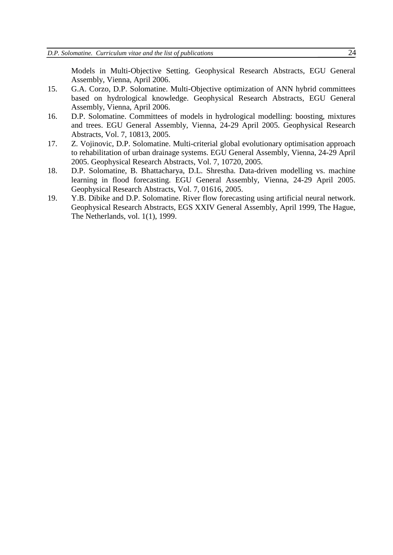Models in Multi-Objective Setting. Geophysical Research Abstracts, EGU General Assembly, Vienna, April 2006.

- 15. G.A. Corzo, D.P. Solomatine. Multi-Objective optimization of ANN hybrid committees based on hydrological knowledge. Geophysical Research Abstracts, EGU General Assembly, Vienna, April 2006.
- 16. D.P. Solomatine. Committees of models in hydrological modelling: boosting, mixtures and trees. EGU General Assembly, Vienna, 24-29 April 2005. Geophysical Research Abstracts, Vol. 7, 10813, 2005.
- 17. Z. Vojinovic, D.P. Solomatine. Multi-criterial global evolutionary optimisation approach to rehabilitation of urban drainage systems. EGU General Assembly, Vienna, 24-29 April 2005. Geophysical Research Abstracts, Vol. 7, 10720, 2005.
- 18. D.P. Solomatine, B. Bhattacharya, D.L. Shrestha. Data-driven modelling vs. machine learning in flood forecasting. EGU General Assembly, Vienna, 24-29 April 2005. Geophysical Research Abstracts, Vol. 7, 01616, 2005.
- 19. Y.B. Dibike and D.P. Solomatine. River flow forecasting using artificial neural network. Geophysical Research Abstracts, EGS XXIV General Assembly, April 1999, The Hague, The Netherlands, vol. 1(1), 1999.